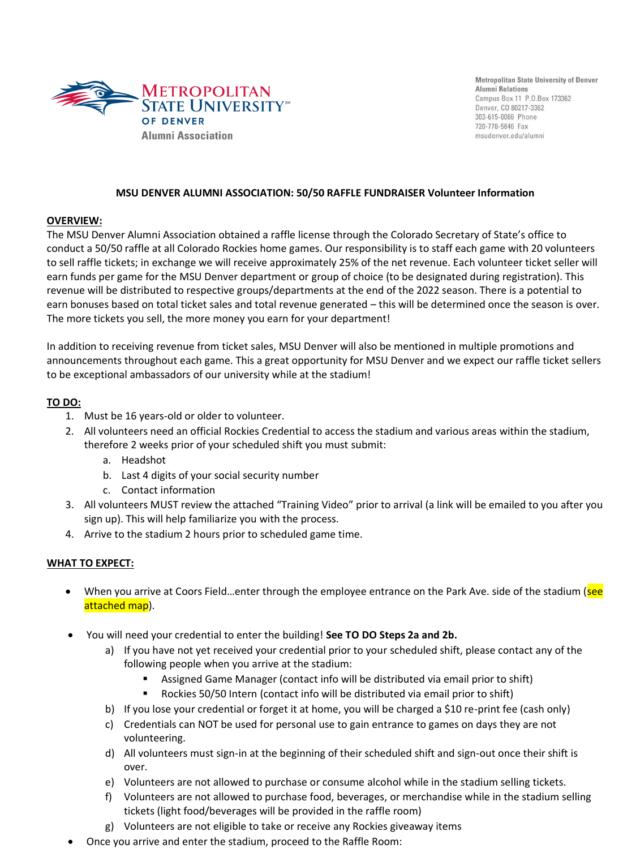

**Metropolitan State University of Denver Alumni Relations** Campus Box 11 P.O.Box 173362 Denver, CO 80217-3362 303-615-0066 Phone 720-778-5846 Fax msudenver.edu/alumni

### **MSU DENVER ALUMNI ASSOCIATION: 50/50 RAFFLE FUNDRAISER Volunteer Information**

## **OVERVIEW:**

The MSU Denver Alumni Association obtained a raffle license through the Colorado Secretary of State's office to conduct a 50/50 raffle at all Colorado Rockies home games. Our responsibility is to staff each game with 20 volunteers to sell raffle tickets; in exchange we will receive approximately 25% of the net revenue. Each volunteer ticket seller will earn funds per game for the MSU Denver department or group of choice (to be designated during registration). This revenue will be distributed to respective groups/departments at the end of the 2022 season. There is a potential to earn bonuses based on total ticket sales and total revenue generated – this will be determined once the season is over. The more tickets you sell, the more money you earn for your department!

In addition to receiving revenue from ticket sales, MSU Denver will also be mentioned in multiple promotions and announcements throughout each game. This a great opportunity for MSU Denver and we expect our raffle ticket sellers to be exceptional ambassadors of our university while at the stadium!

## **TO DO:**

- 1. Must be 16 years-old or older to volunteer.
- 2. All volunteers need an official Rockies Credential to access the stadium and various areas within the stadium, therefore 2 weeks prior of your scheduled shift you must submit:
	- a. Headshot
	- b. Last 4 digits of your social security number
	- c. Contact information
- 3. All volunteers MUST review the attached "Training Video" prior to arrival (a link will be emailed to you after you sign up). This will help familiarize you with the process.
- 4. Arrive to the stadium 2 hours prior to scheduled game time.

# **WHAT TO EXPECT:**

- When you arrive at Coors Field...enter through the employee entrance on the Park Ave. side of the stadium (see attached map).
- You will need your credential to enter the building! **See TO DO Steps 2a and 2b.**
	- a) If you have not yet received your credential prior to your scheduled shift, please contact any of the following people when you arrive at the stadium:
		- Assigned Game Manager (contact info will be distributed via email prior to shift)
		- Rockies 50/50 Intern (contact info will be distributed via email prior to shift)
	- b) If you lose your credential or forget it at home, you will be charged a \$10 re-print fee (cash only)
	- c) Credentials can NOT be used for personal use to gain entrance to games on days they are not volunteering.
	- d) All volunteers must sign-in at the beginning of their scheduled shift and sign-out once their shift is over.
	- e) Volunteers are not allowed to purchase or consume alcohol while in the stadium selling tickets.
	- f) Volunteers are not allowed to purchase food, beverages, or merchandise while in the stadium selling tickets (light food/beverages will be provided in the raffle room)
	- g) Volunteers are not eligible to take or receive any Rockies giveaway items
- Once you arrive and enter the stadium, proceed to the Raffle Room: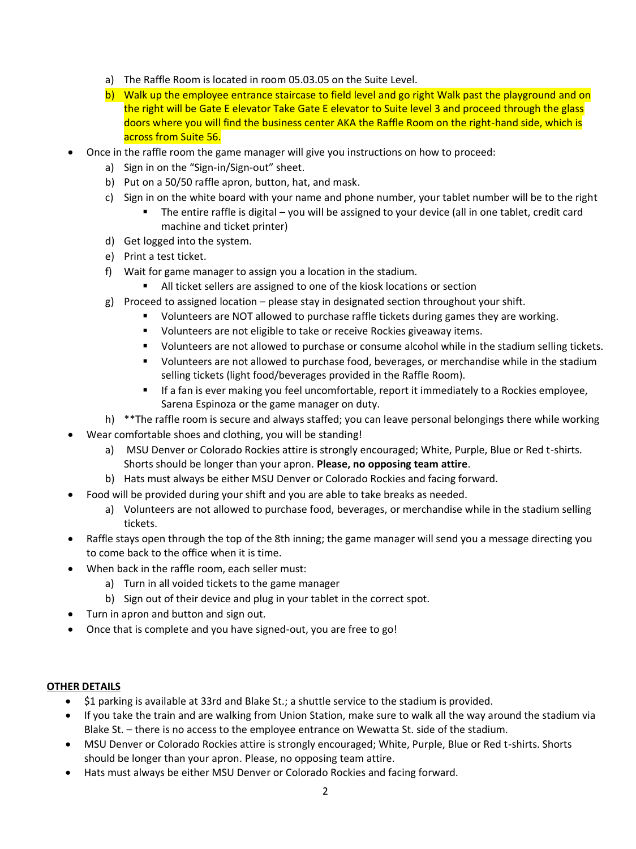- a) The Raffle Room is located in room 05.03.05 on the Suite Level.
- b) Walk up the employee entrance staircase to field level and go right Walk past the playground and on the right will be Gate E elevator Take Gate E elevator to Suite level 3 and proceed through the glass doors where you will find the business center AKA the Raffle Room on the right-hand side, which is across from Suite 56.
- Once in the raffle room the game manager will give you instructions on how to proceed:
	- a) Sign in on the "Sign-in/Sign-out" sheet.
	- b) Put on a 50/50 raffle apron, button, hat, and mask.
	- c) Sign in on the white board with your name and phone number, your tablet number will be to the right
		- The entire raffle is digital you will be assigned to your device (all in one tablet, credit card machine and ticket printer)
	- d) Get logged into the system.
	- e) Print a test ticket.
	- f) Wait for game manager to assign you a location in the stadium.
		- All ticket sellers are assigned to one of the kiosk locations or section
	- g) Proceed to assigned location please stay in designated section throughout your shift.
		- Volunteers are NOT allowed to purchase raffle tickets during games they are working.
		- Volunteers are not eligible to take or receive Rockies giveaway items.
		- Volunteers are not allowed to purchase or consume alcohol while in the stadium selling tickets.
		- Volunteers are not allowed to purchase food, beverages, or merchandise while in the stadium selling tickets (light food/beverages provided in the Raffle Room).
		- If a fan is ever making you feel uncomfortable, report it immediately to a Rockies employee, Sarena Espinoza or the game manager on duty.
	- h) \*\*The raffle room is secure and always staffed; you can leave personal belongings there while working
- Wear comfortable shoes and clothing, you will be standing!
	- a) MSU Denver or Colorado Rockies attire is strongly encouraged; White, Purple, Blue or Red t-shirts. Shorts should be longer than your apron. **Please, no opposing team attire**.
	- b) Hats must always be either MSU Denver or Colorado Rockies and facing forward.
- Food will be provided during your shift and you are able to take breaks as needed.
	- a) Volunteers are not allowed to purchase food, beverages, or merchandise while in the stadium selling tickets.
- Raffle stays open through the top of the 8th inning; the game manager will send you a message directing you to come back to the office when it is time.
- When back in the raffle room, each seller must:
	- a) Turn in all voided tickets to the game manager
	- b) Sign out of their device and plug in your tablet in the correct spot.
- Turn in apron and button and sign out.
- Once that is complete and you have signed-out, you are free to go!

# **OTHER DETAILS**

- \$1 parking is available at 33rd and Blake St.; a shuttle service to the stadium is provided.
- If you take the train and are walking from Union Station, make sure to walk all the way around the stadium via Blake St. – there is no access to the employee entrance on Wewatta St. side of the stadium.
- MSU Denver or Colorado Rockies attire is strongly encouraged; White, Purple, Blue or Red t-shirts. Shorts should be longer than your apron. Please, no opposing team attire.
- Hats must always be either MSU Denver or Colorado Rockies and facing forward.